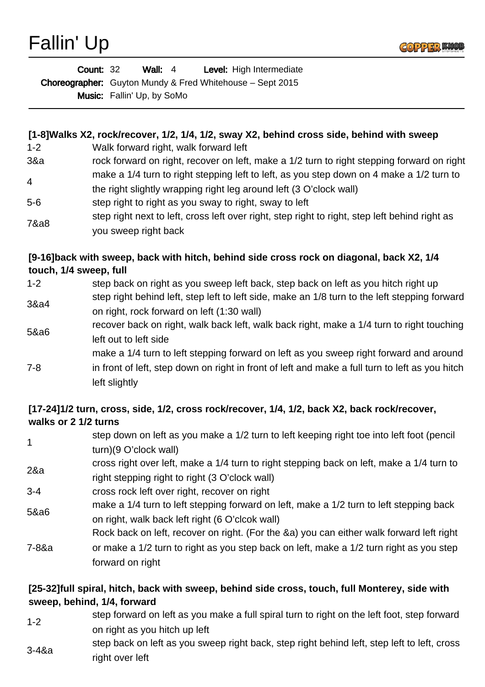

| <b>Count: 32</b> |                                   | Wall: $4$ |  | Level: High Intermediate                                         |
|------------------|-----------------------------------|-----------|--|------------------------------------------------------------------|
|                  |                                   |           |  | <b>Choreographer:</b> Guyton Mundy & Fred Whitehouse – Sept 2015 |
|                  | <b>Music:</b> Fallin' Up, by SoMo |           |  |                                                                  |

## **[1-8]Walks X2, rock/recover, 1/2, 1/4, 1/2, sway X2, behind cross side, behind with sweep**

- 1-2 Walk forward right, walk forward left
- 3&a rock forward on right, recover on left, make a 1/2 turn to right stepping forward on right 4 make a 1/4 turn to right stepping left to left, as you step down on 4 make a 1/2 turn to
- the right slightly wrapping right leg around left (3 O'clock wall)
- 5-6 step right to right as you sway to right, sway to left
- 7&a8 step right next to left, cross left over right, step right to right, step left behind right as you sweep right back

## **[9-16]back with sweep, back with hitch, behind side cross rock on diagonal, back X2, 1/4 touch, 1/4 sweep, full**

1-2 step back on right as you sweep left back, step back on left as you hitch right up 3&a4 step right behind left, step left to left side, make an 1/8 turn to the left stepping forward on right, rock forward on left (1:30 wall) 5&a6 recover back on right, walk back left, walk back right, make a 1/4 turn to right touching left out to left side 7-8 make a 1/4 turn to left stepping forward on left as you sweep right forward and around in front of left, step down on right in front of left and make a full turn to left as you hitch left slightly

## **[17-24]1/2 turn, cross, side, 1/2, cross rock/recover, 1/4, 1/2, back X2, back rock/recover, walks or 2 1/2 turns**

1 step down on left as you make a 1/2 turn to left keeping right toe into left foot (pencil turn)(9 O'clock wall) 2&a cross right over left, make a 1/4 turn to right stepping back on left, make a 1/4 turn to right stepping right to right (3 O'clock wall) 3-4 cross rock left over right, recover on right 5&a6 make a 1/4 turn to left stepping forward on left, make a 1/2 turn to left stepping back on right, walk back left right (6 O'clcok wall) 7-8&a Rock back on left, recover on right. (For the &a) you can either walk forward left right or make a 1/2 turn to right as you step back on left, make a 1/2 turn right as you step forward on right

## **[25-32]full spiral, hitch, back with sweep, behind side cross, touch, full Monterey, side with sweep, behind, 1/4, forward**

- 1-2 step forward on left as you make a full spiral turn to right on the left foot, step forward on right as you hitch up left
- 3-4&a step back on left as you sweep right back, step right behind left, step left to left, cross right over left